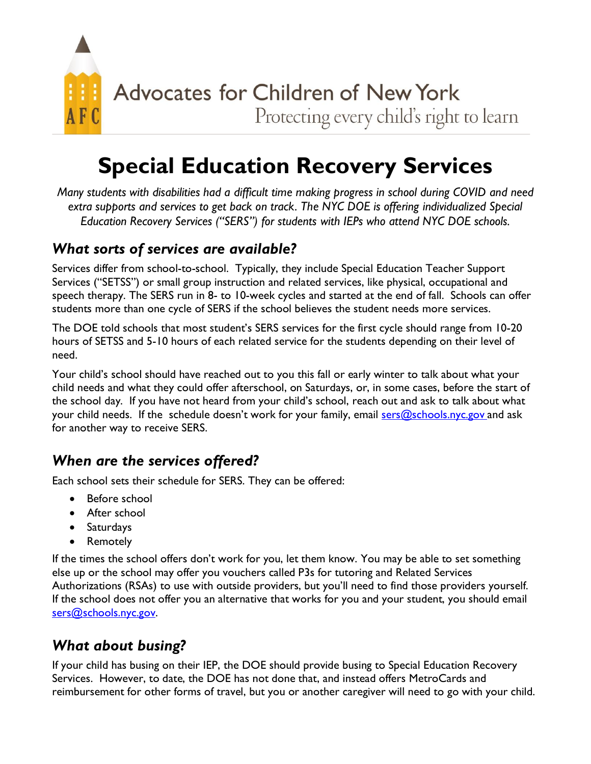

Protecting every child's right to learn

# **Special Education Recovery Services**

*Many students with disabilities had a difficult time making progress in school during COVID and need*  extra supports and services to get back on track. The NYC DOE is offering individualized Special *Education Recovery Services ("SERS") for students with IEPs who attend NYC DOE schools.*

#### *What sorts of services are available?*

Services differ from school-to-school. Typically, they include Special Education Teacher Support Services ("SETSS") or small group instruction and related services, like physical, occupational and speech therapy. The SERS run in 8- to 10-week cycles and started at the end of fall. Schools can offer students more than one cycle of SERS if the school believes the student needs more services.

The DOE told schools that most student's SERS services for the first cycle should range from 10-20 hours of SETSS and 5-10 hours of each related service for the students depending on their level of need.

Your child's school should have reached out to you this fall or early winter to talk about what your child needs and what they could offer afterschool, on Saturdays, or, in some cases, before the start of the school day. If you have not heard from your child's school, reach out and ask to talk about what your child needs. If the schedule doesn't work for your family, email sers  $@$ schools.nyc.gov and ask for another way to receive SERS.

## *When are the services offered?*

Each school sets their schedule for SERS. They can be offered:

- Before school
- After school
- Saturdays
- Remotely

If the times the school offers don't work for you, let them know. You may be able to set something else up or the school may offer you vouchers called P3s for tutoring and Related Services Authorizations (RSAs) to use with outside providers, but you'll need to find those providers yourself. If the school does not offer you an alternative that works for you and your student, you should email [sers@schools.nyc.gov.](mailto:sers@schools.nyc.gov)

### *What about busing?*

If your child has busing on their IEP, the DOE should provide busing to Special Education Recovery Services. However, to date, the DOE has not done that, and instead offers MetroCards and reimbursement for other forms of travel, but you or another caregiver will need to go with your child.